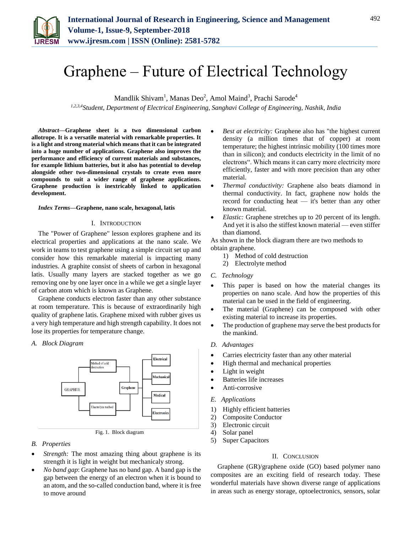

# Graphene – Future of Electrical Technology

Mandlik Shivam<sup>1</sup>, Manas Deo<sup>2</sup>, Amol Maind<sup>3</sup>, Prachi Sarode<sup>4</sup>

*1,2,3,4Student, Department of Electrical Engineering, Sanghavi College of Engineering, Nashik, India*

*Abstract***—Graphene sheet is a two dimensional carbon allotrope. It is a versatile material with remarkable properties. It is a light and strong material which means that it can be integrated into a huge number of applications. Graphene also improves the performance and efficiency of current materials and substances, for example lithium batteries, but it also has potential to develop alongside other two-dimensional crystals to create even more compounds to suit a wider range of graphene applications. Graphene production is inextricably linked to application development.**

### *Index Terms***—Graphene, nano scale, hexagonal, latis**

## I. INTRODUCTION

The "Power of Graphene" lesson explores graphene and its electrical properties and applications at the nano scale. We work in teams to test graphene using a simple circuit set up and consider how this remarkable material is impacting many industries. A graphite consist of sheets of carbon in hexagonal latis. Usually many layers are stacked together as we go removing one by one layer once in a while we get a single layer of carbon atom which is known as Graphene.

Graphene conducts electron faster than any other substance at room temperature. This is because of extraordinarily high quality of graphene latis. Graphene mixed with rubber gives us a very high temperature and high strength capability. It does not lose its properties for temperature change.

## *A. Block Diagram*



Fig. 1. Block diagram

- *B. Properties*
- *Strength:* The most amazing thing about graphene is its strength it is light in weight but mechanicaly strong.
- *No band gap*: Graphene has no band gap. A band gap is the gap between the energy of an electron when it is bound to an atom, and the so-called conduction band, where it is free to move around
- *Best at electricity:* Graphene also has "the highest current density (a million times that of copper) at room temperature; the highest intrinsic mobility (100 times more than in silicon); and conducts electricity in the limit of no electrons". Which means it can carry more electricity more efficiently, faster and with more precision than any other material.
- *Thermal conductivity:* Graphene also beats diamond in thermal conductivity. In fact, graphene now holds the record for conducting heat — it's better than any other known material.
- *Elastic:* Graphene stretches up to 20 percent of its length. And yet it is also the stiffest known material — even stiffer than diamond.

As shown in the block diagram there are two methods to obtain graphene.

- 1) Method of cold destruction
- 2) Electrolyte method
- *C. Technology*
- This paper is based on how the material changes its properties on nano scale. And how the properties of this material can be used in the field of engineering.
- The material (Graphene) can be composed with other existing material to increase its properties.
- The production of graphene may serve the best products for the mankind.
- *D. Advantages*
- Carries electricity faster than any other material
- High thermal and mechanical properties
- Light in weight
- Batteries life increases
- Anti-corrosive
- *E. Applications*
- 1) Highly efficient batteries
- 2) Composite Conductor
- 3) Electronic circuit
- 4) Solar panel
- 5) Super Capacitors

## II. CONCLUSION

Graphene (GR)/graphene oxide (GO) based polymer nano composites are an exciting field of research today. These wonderful materials have shown diverse range of applications in areas such as energy storage, optoelectronics, sensors, solar